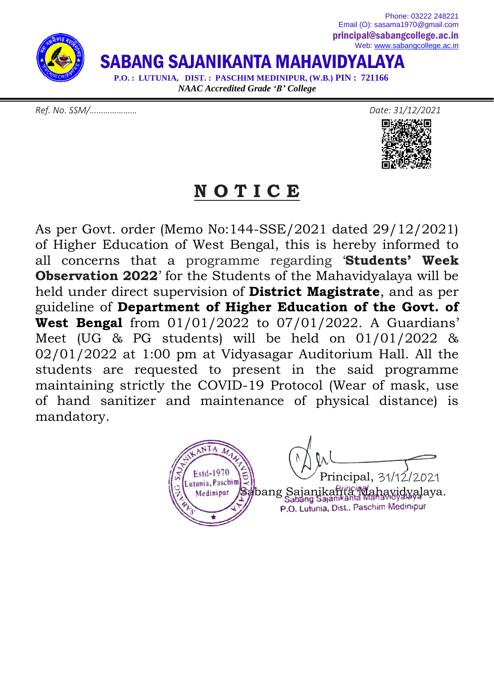

*Ref. No. SSM/………………… Date: 31/12/2021*





### **N O T I C E**

As per Govt. order (Memo No:144-SSE/2021 dated 29/12/2021) of Higher Education of West Bengal, this is hereby informed to all concerns that a programme regarding '**Students' Week Observation 2022**' for the Students of the Mahavidyalaya will be held under direct supervision of **District Magistrate**, and as per guideline of **Department of Higher Education of the Govt. of West Bengal** from 01/01/2022 to 07/01/2022. A Guardians' Meet (UG & PG students) will be held on 01/01/2022 & 02/01/2022 at 1:00 pm at Vidyasagar Auditorium Hall. All the students are requested to present in the said programme maintaining strictly the COVID-19 Protocol (Wear of mask, use of hand sanitizer and maintenance of physical distance) is mandatory.

 $\text{Principal, } 31/12/2021$ Medinipur Sabang Sajanikanta Mahavidyalaya. P.O. Lutunia, Dist., Paschim Medinipur